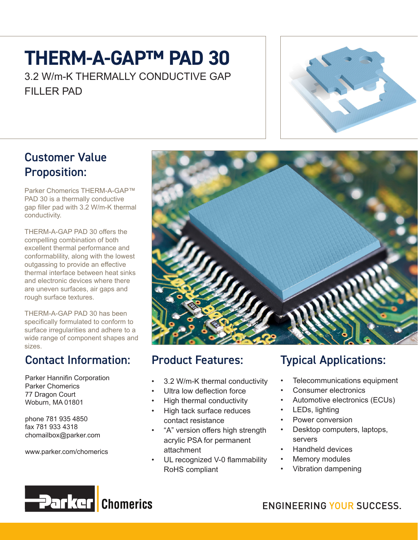# **THERM-A-GAP™ PAD 30**

3.2 W/m-K THERMALLY CONDUCTIVE GAP FILLER PAD



#### Customer Value Proposition:

Parker Chomerics THERM-A-GAP™ PAD 30 is a thermally conductive gap filler pad with 3.2 W/m-K thermal conductivity.

THERM-A-GAP PAD 30 offers the compelling combination of both excellent thermal performance and conformablility, along with the lowest outgassing to provide an effective thermal interface between heat sinks and electronic devices where there are uneven surfaces, air gaps and rough surface textures.

THERM-A-GAP PAD 30 has been specifically formulated to conform to surface irregularities and adhere to a wide range of component shapes and sizes.

### Contact Information:

Parker Hannifin Corporation Parker Chomerics 77 Dragon Court Woburn, MA 01801

phone 781 935 4850 fax 781 933 4318 chomailbox@parker.com

www.parker.com/chomerics



### Product Features:

- 3.2 W/m-K thermal conductivity
- Ultra low deflection force
- High thermal conductivity
- High tack surface reduces contact resistance
- "A" version offers high strength acrylic PSA for permanent attachment
- UL recognized V-0 flammability RoHS compliant

### Typical Applications:

- Telecommunications equipment
- Consumer electronics
- Automotive electronics (ECUs)
- LEDs, lighting
- Power conversion
- Desktop computers, laptops, servers
- Handheld devices
- Memory modules
- Vibration dampening



**ENGINEERING YOUR SUCCESS.**